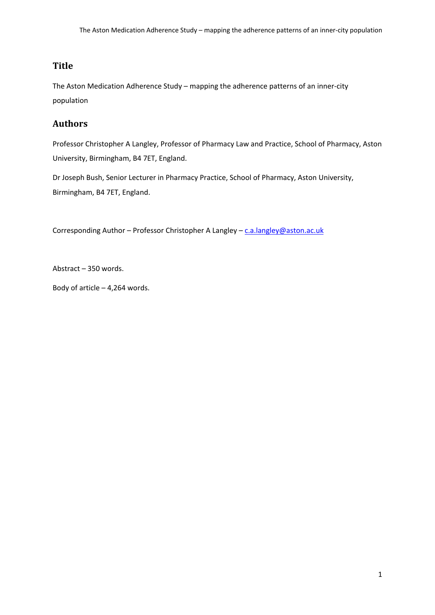# **Title**

The Aston Medication Adherence Study – mapping the adherence patterns of an inner-city population

# **Authors**

Professor Christopher A Langley, Professor of Pharmacy Law and Practice, School of Pharmacy, Aston University, Birmingham, B4 7ET, England.

Dr Joseph Bush, Senior Lecturer in Pharmacy Practice, School of Pharmacy, Aston University, Birmingham, B4 7ET, England.

Corresponding Author – Professor Christopher A Langley – [c.a.langley@aston.ac.uk](mailto:c.a.langley@aston.ac.uk)

Abstract – 350 words.

Body of article  $-4,264$  words.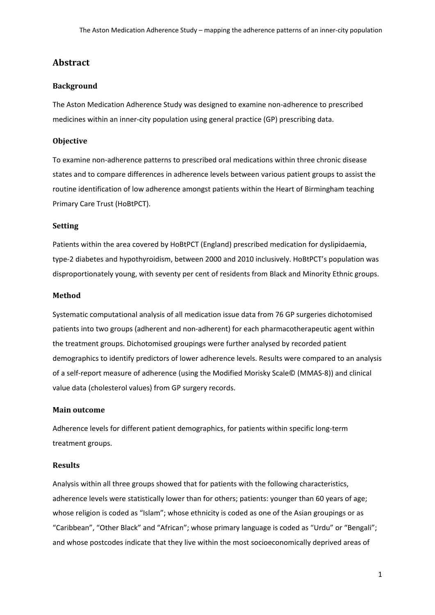# **Abstract**

## **Background**

The Aston Medication Adherence Study was designed to examine non-adherence to prescribed medicines within an inner-city population using general practice (GP) prescribing data.

## **Objective**

To examine non-adherence patterns to prescribed oral medications within three chronic disease states and to compare differences in adherence levels between various patient groups to assist the routine identification of low adherence amongst patients within the Heart of Birmingham teaching Primary Care Trust (HoBtPCT).

### **Setting**

Patients within the area covered by HoBtPCT (England) prescribed medication for dyslipidaemia, type-2 diabetes and hypothyroidism, between 2000 and 2010 inclusively. HoBtPCT's population was disproportionately young, with seventy per cent of residents from Black and Minority Ethnic groups.

#### **Method**

Systematic computational analysis of all medication issue data from 76 GP surgeries dichotomised patients into two groups (adherent and non-adherent) for each pharmacotherapeutic agent within the treatment groups. Dichotomised groupings were further analysed by recorded patient demographics to identify predictors of lower adherence levels. Results were compared to an analysis of a self-report measure of adherence (using the Modified Morisky Scale© (MMAS-8)) and clinical value data (cholesterol values) from GP surgery records.

#### **Main outcome**

Adherence levels for different patient demographics, for patients within specific long-term treatment groups.

#### **Results**

Analysis within all three groups showed that for patients with the following characteristics, adherence levels were statistically lower than for others; patients: younger than 60 years of age; whose religion is coded as "Islam"; whose ethnicity is coded as one of the Asian groupings or as "Caribbean", "Other Black" and "African"; whose primary language is coded as "Urdu" or "Bengali"; and whose postcodes indicate that they live within the most socioeconomically deprived areas of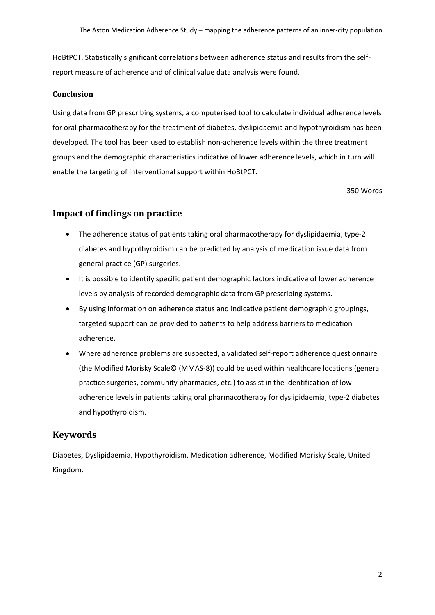HoBtPCT. Statistically significant correlations between adherence status and results from the selfreport measure of adherence and of clinical value data analysis were found.

## **Conclusion**

Using data from GP prescribing systems, a computerised tool to calculate individual adherence levels for oral pharmacotherapy for the treatment of diabetes, dyslipidaemia and hypothyroidism has been developed. The tool has been used to establish non-adherence levels within the three treatment groups and the demographic characteristics indicative of lower adherence levels, which in turn will enable the targeting of interventional support within HoBtPCT.

350 Words

## **Impact of findings on practice**

- The adherence status of patients taking oral pharmacotherapy for dyslipidaemia, type-2 diabetes and hypothyroidism can be predicted by analysis of medication issue data from general practice (GP) surgeries.
- It is possible to identify specific patient demographic factors indicative of lower adherence levels by analysis of recorded demographic data from GP prescribing systems.
- By using information on adherence status and indicative patient demographic groupings, targeted support can be provided to patients to help address barriers to medication adherence.
- Where adherence problems are suspected, a validated self-report adherence questionnaire (the Modified Morisky Scale© (MMAS-8)) could be used within healthcare locations (general practice surgeries, community pharmacies, etc.) to assist in the identification of low adherence levels in patients taking oral pharmacotherapy for dyslipidaemia, type-2 diabetes and hypothyroidism.

## **Keywords**

Diabetes, Dyslipidaemia, Hypothyroidism, Medication adherence, Modified Morisky Scale, United Kingdom.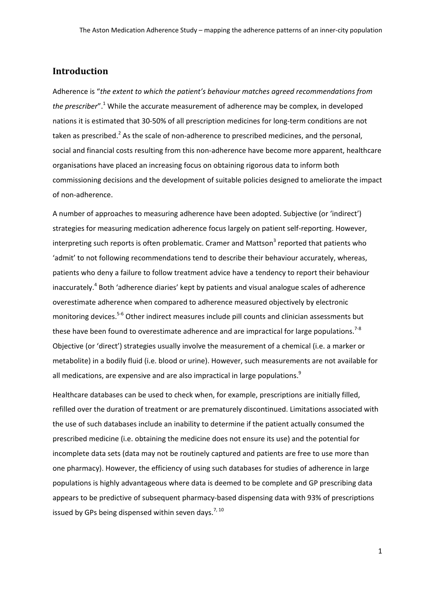# **Introduction**

Adherence is "*the extent to which the patient's behaviour matches agreed recommendations from the prescriber*". <sup>1</sup> While the accurate measurement of adherence may be complex, in developed nations it is estimated that 30-50% of all prescription medicines for long-term conditions are not taken as prescribed.<sup>2</sup> As the scale of non-adherence to prescribed medicines, and the personal, social and financial costs resulting from this non-adherence have become more apparent, healthcare organisations have placed an increasing focus on obtaining rigorous data to inform both commissioning decisions and the development of suitable policies designed to ameliorate the impact of non-adherence.

A number of approaches to measuring adherence have been adopted. Subjective (or 'indirect') strategies for measuring medication adherence focus largely on patient self-reporting. However, interpreting such reports is often problematic. Cramer and Mattson $3$  reported that patients who 'admit' to not following recommendations tend to describe their behaviour accurately, whereas, patients who deny a failure to follow treatment advice have a tendency to report their behaviour inaccurately.<sup>4</sup> Both 'adherence diaries' kept by patients and visual analogue scales of adherence overestimate adherence when compared to adherence measured objectively by electronic monitoring devices.<sup>5-6</sup> Other indirect measures include pill counts and clinician assessments but these have been found to overestimate adherence and are impractical for large populations.<sup>7-8</sup> Objective (or 'direct') strategies usually involve the measurement of a chemical (i.e. a marker or metabolite) in a bodily fluid (i.e. blood or urine). However, such measurements are not available for all medications, are expensive and are also impractical in large populations.<sup>9</sup>

Healthcare databases can be used to check when, for example, prescriptions are initially filled, refilled over the duration of treatment or are prematurely discontinued. Limitations associated with the use of such databases include an inability to determine if the patient actually consumed the prescribed medicine (i.e. obtaining the medicine does not ensure its use) and the potential for incomplete data sets (data may not be routinely captured and patients are free to use more than one pharmacy). However, the efficiency of using such databases for studies of adherence in large populations is highly advantageous where data is deemed to be complete and GP prescribing data appears to be predictive of subsequent pharmacy-based dispensing data with 93% of prescriptions issued by GPs being dispensed within seven days.<sup>7, 10</sup>

1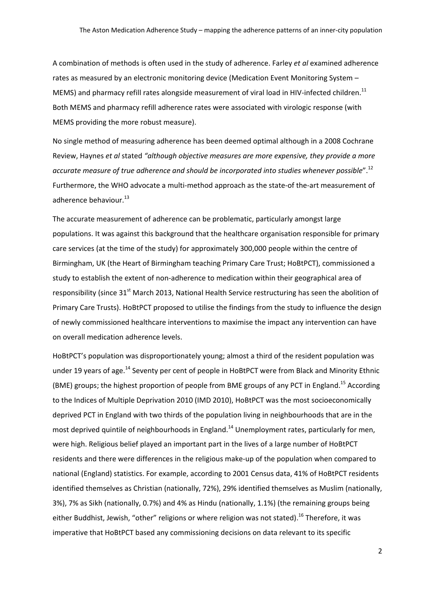A combination of methods is often used in the study of adherence. Farley *et al* examined adherence rates as measured by an electronic monitoring device (Medication Event Monitoring System – MEMS) and pharmacy refill rates alongside measurement of viral load in HIV-infected children.<sup>11</sup> Both MEMS and pharmacy refill adherence rates were associated with virologic response (with MEMS providing the more robust measure).

No single method of measuring adherence has been deemed optimal although in a 2008 Cochrane Review, Haynes *et al* stated *"although objective measures are more expensive, they provide a more accurate measure of true adherence and should be incorporated into studies whenever possible*".12 Furthermore, the WHO advocate a multi-method approach as the state-of the-art measurement of adherence behaviour.<sup>13</sup>

The accurate measurement of adherence can be problematic, particularly amongst large populations. It was against this background that the healthcare organisation responsible for primary care services (at the time of the study) for approximately 300,000 people within the centre of Birmingham, UK (the Heart of Birmingham teaching Primary Care Trust; HoBtPCT), commissioned a study to establish the extent of non-adherence to medication within their geographical area of responsibility (since  $31<sup>st</sup>$  March 2013, National Health Service restructuring has seen the abolition of Primary Care Trusts). HoBtPCT proposed to utilise the findings from the study to influence the design of newly commissioned healthcare interventions to maximise the impact any intervention can have on overall medication adherence levels.

HoBtPCT's population was disproportionately young; almost a third of the resident population was under 19 years of age.<sup>14</sup> Seventy per cent of people in HoBtPCT were from Black and Minority Ethnic (BME) groups; the highest proportion of people from BME groups of any PCT in England.<sup>15</sup> According to the Indices of Multiple Deprivation 2010 (IMD 2010), HoBtPCT was the most socioeconomically deprived PCT in England with two thirds of the population living in neighbourhoods that are in the most deprived quintile of neighbourhoods in England.<sup>14</sup> Unemployment rates, particularly for men, were high. Religious belief played an important part in the lives of a large number of HoBtPCT residents and there were differences in the religious make-up of the population when compared to national (England) statistics. For example, according to 2001 Census data, 41% of HoBtPCT residents identified themselves as Christian (nationally, 72%), 29% identified themselves as Muslim (nationally, 3%), 7% as Sikh (nationally, 0.7%) and 4% as Hindu (nationally, 1.1%) (the remaining groups being either Buddhist, Jewish, "other" religions or where religion was not stated).<sup>16</sup> Therefore, it was imperative that HoBtPCT based any commissioning decisions on data relevant to its specific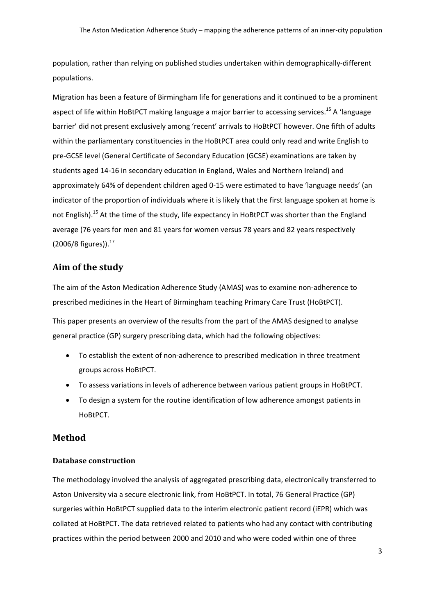population, rather than relying on published studies undertaken within demographically-different populations.

Migration has been a feature of Birmingham life for generations and it continued to be a prominent aspect of life within HoBtPCT making language a major barrier to accessing services.<sup>15</sup> A 'language barrier' did not present exclusively among 'recent' arrivals to HoBtPCT however. One fifth of adults within the parliamentary constituencies in the HoBtPCT area could only read and write English to pre-GCSE level (General Certificate of Secondary Education (GCSE) examinations are taken by students aged 14-16 in secondary education in England, Wales and Northern Ireland) and approximately 64% of dependent children aged 0-15 were estimated to have 'language needs' (an indicator of the proportion of individuals where it is likely that the first language spoken at home is not English).<sup>15</sup> At the time of the study, life expectancy in HoBtPCT was shorter than the England average (76 years for men and 81 years for women versus 78 years and 82 years respectively  $(2006/8 \text{ figures})$ ).<sup>17</sup>

# **Aim of the study**

The aim of the Aston Medication Adherence Study (AMAS) was to examine non-adherence to prescribed medicines in the Heart of Birmingham teaching Primary Care Trust (HoBtPCT).

This paper presents an overview of the results from the part of the AMAS designed to analyse general practice (GP) surgery prescribing data, which had the following objectives:

- To establish the extent of non-adherence to prescribed medication in three treatment groups across HoBtPCT.
- To assess variations in levels of adherence between various patient groups in HoBtPCT.
- To design a system for the routine identification of low adherence amongst patients in HoBtPCT.

## **Method**

## **Database construction**

The methodology involved the analysis of aggregated prescribing data, electronically transferred to Aston University via a secure electronic link, from HoBtPCT. In total, 76 General Practice (GP) surgeries within HoBtPCT supplied data to the interim electronic patient record (iEPR) which was collated at HoBtPCT. The data retrieved related to patients who had any contact with contributing practices within the period between 2000 and 2010 and who were coded within one of three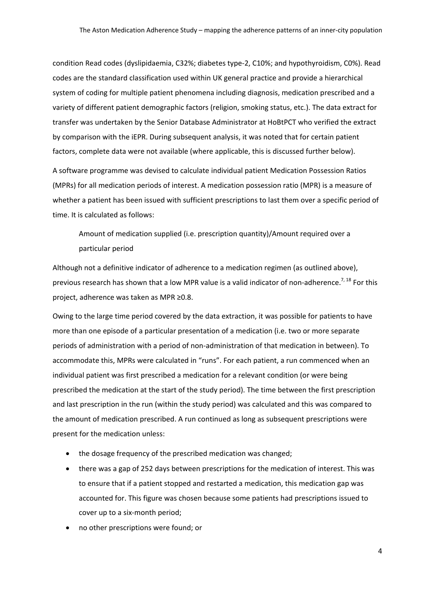condition Read codes (dyslipidaemia, C32%; diabetes type-2, C10%; and hypothyroidism, C0%). Read codes are the standard classification used within UK general practice and provide a hierarchical system of coding for multiple patient phenomena including diagnosis, medication prescribed and a variety of different patient demographic factors (religion, smoking status, etc.). The data extract for transfer was undertaken by the Senior Database Administrator at HoBtPCT who verified the extract by comparison with the iEPR. During subsequent analysis, it was noted that for certain patient factors, complete data were not available (where applicable, this is discussed further below).

A software programme was devised to calculate individual patient Medication Possession Ratios (MPRs) for all medication periods of interest. A medication possession ratio (MPR) is a measure of whether a patient has been issued with sufficient prescriptions to last them over a specific period of time. It is calculated as follows:

Amount of medication supplied (i.e. prescription quantity)/Amount required over a particular period

Although not a definitive indicator of adherence to a medication regimen (as outlined above), previous research has shown that a low MPR value is a valid indicator of non-adherence.<sup>7, 18</sup> For this project, adherence was taken as MPR ≥0.8.

Owing to the large time period covered by the data extraction, it was possible for patients to have more than one episode of a particular presentation of a medication (i.e. two or more separate periods of administration with a period of non-administration of that medication in between). To accommodate this, MPRs were calculated in "runs". For each patient, a run commenced when an individual patient was first prescribed a medication for a relevant condition (or were being prescribed the medication at the start of the study period). The time between the first prescription and last prescription in the run (within the study period) was calculated and this was compared to the amount of medication prescribed. A run continued as long as subsequent prescriptions were present for the medication unless:

- the dosage frequency of the prescribed medication was changed;
- there was a gap of 252 days between prescriptions for the medication of interest. This was to ensure that if a patient stopped and restarted a medication, this medication gap was accounted for. This figure was chosen because some patients had prescriptions issued to cover up to a six-month period;
- no other prescriptions were found; or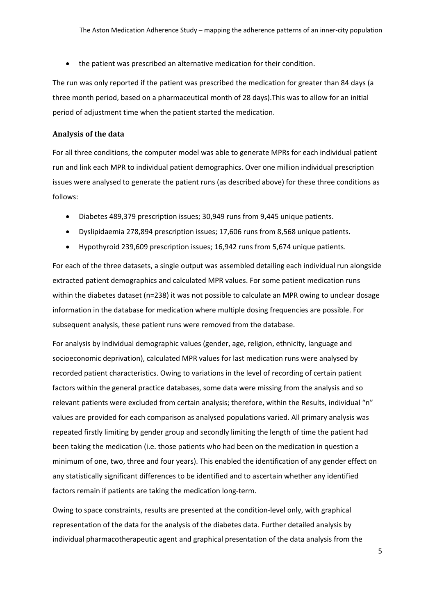• the patient was prescribed an alternative medication for their condition.

The run was only reported if the patient was prescribed the medication for greater than 84 days (a three month period, based on a pharmaceutical month of 28 days).This was to allow for an initial period of adjustment time when the patient started the medication.

### **Analysis of the data**

For all three conditions, the computer model was able to generate MPRs for each individual patient run and link each MPR to individual patient demographics. Over one million individual prescription issues were analysed to generate the patient runs (as described above) for these three conditions as follows:

- Diabetes 489,379 prescription issues; 30,949 runs from 9,445 unique patients.
- Dyslipidaemia 278,894 prescription issues; 17,606 runs from 8,568 unique patients.
- Hypothyroid 239,609 prescription issues; 16,942 runs from 5,674 unique patients.

For each of the three datasets, a single output was assembled detailing each individual run alongside extracted patient demographics and calculated MPR values. For some patient medication runs within the diabetes dataset (n=238) it was not possible to calculate an MPR owing to unclear dosage information in the database for medication where multiple dosing frequencies are possible. For subsequent analysis, these patient runs were removed from the database.

For analysis by individual demographic values (gender, age, religion, ethnicity, language and socioeconomic deprivation), calculated MPR values for last medication runs were analysed by recorded patient characteristics. Owing to variations in the level of recording of certain patient factors within the general practice databases, some data were missing from the analysis and so relevant patients were excluded from certain analysis; therefore, within the Results, individual "n" values are provided for each comparison as analysed populations varied. All primary analysis was repeated firstly limiting by gender group and secondly limiting the length of time the patient had been taking the medication (i.e. those patients who had been on the medication in question a minimum of one, two, three and four years). This enabled the identification of any gender effect on any statistically significant differences to be identified and to ascertain whether any identified factors remain if patients are taking the medication long-term.

Owing to space constraints, results are presented at the condition-level only, with graphical representation of the data for the analysis of the diabetes data. Further detailed analysis by individual pharmacotherapeutic agent and graphical presentation of the data analysis from the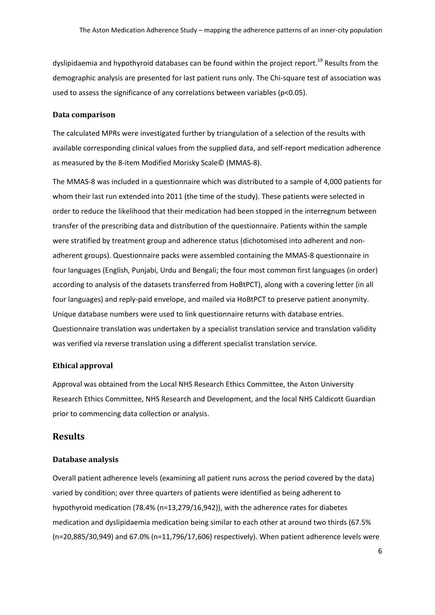dyslipidaemia and hypothyroid databases can be found within the project report.<sup>19</sup> Results from the demographic analysis are presented for last patient runs only. The Chi-square test of association was used to assess the significance of any correlations between variables (p<0.05).

#### **Data comparison**

The calculated MPRs were investigated further by triangulation of a selection of the results with available corresponding clinical values from the supplied data, and self-report medication adherence as measured by the 8-item Modified Morisky Scale© (MMAS-8).

The MMAS-8 was included in a questionnaire which was distributed to a sample of 4,000 patients for whom their last run extended into 2011 (the time of the study). These patients were selected in order to reduce the likelihood that their medication had been stopped in the interregnum between transfer of the prescribing data and distribution of the questionnaire. Patients within the sample were stratified by treatment group and adherence status (dichotomised into adherent and nonadherent groups). Questionnaire packs were assembled containing the MMAS-8 questionnaire in four languages (English, Punjabi, Urdu and Bengali; the four most common first languages (in order) according to analysis of the datasets transferred from HoBtPCT), along with a covering letter (in all four languages) and reply-paid envelope, and mailed via HoBtPCT to preserve patient anonymity. Unique database numbers were used to link questionnaire returns with database entries. Questionnaire translation was undertaken by a specialist translation service and translation validity was verified via reverse translation using a different specialist translation service.

## **Ethical approval**

Approval was obtained from the Local NHS Research Ethics Committee, the Aston University Research Ethics Committee, NHS Research and Development, and the local NHS Caldicott Guardian prior to commencing data collection or analysis.

## **Results**

## **Database analysis**

Overall patient adherence levels (examining all patient runs across the period covered by the data) varied by condition; over three quarters of patients were identified as being adherent to hypothyroid medication (78.4% (n=13,279/16,942)), with the adherence rates for diabetes medication and dyslipidaemia medication being similar to each other at around two thirds (67.5% (n=20,885/30,949) and 67.0% (n=11,796/17,606) respectively). When patient adherence levels were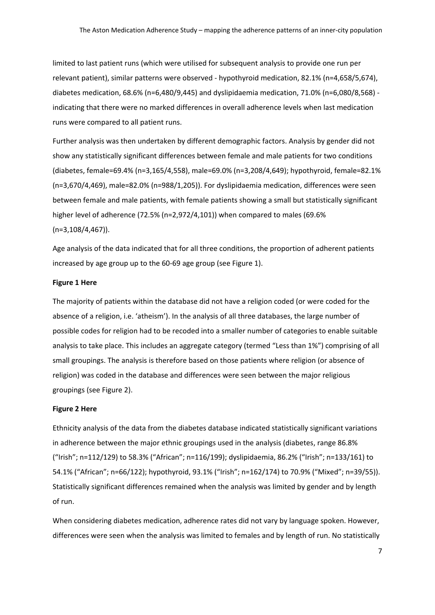limited to last patient runs (which were utilised for subsequent analysis to provide one run per relevant patient), similar patterns were observed - hypothyroid medication, 82.1% (n=4,658/5,674), diabetes medication, 68.6% (n=6,480/9,445) and dyslipidaemia medication, 71.0% (n=6,080/8,568) indicating that there were no marked differences in overall adherence levels when last medication runs were compared to all patient runs.

Further analysis was then undertaken by different demographic factors. Analysis by gender did not show any statistically significant differences between female and male patients for two conditions (diabetes, female=69.4% (n=3,165/4,558), male=69.0% (n=3,208/4,649); hypothyroid, female=82.1% (n=3,670/4,469), male=82.0% (n=988/1,205)). For dyslipidaemia medication, differences were seen between female and male patients, with female patients showing a small but statistically significant higher level of adherence (72.5% (n=2,972/4,101)) when compared to males (69.6% (n=3,108/4,467)).

Age analysis of the data indicated that for all three conditions, the proportion of adherent patients increased by age group up to the 60-69 age group (see Figure 1).

#### **Figure 1 Here**

The majority of patients within the database did not have a religion coded (or were coded for the absence of a religion, i.e. 'atheism'). In the analysis of all three databases, the large number of possible codes for religion had to be recoded into a smaller number of categories to enable suitable analysis to take place. This includes an aggregate category (termed "Less than 1%") comprising of all small groupings. The analysis is therefore based on those patients where religion (or absence of religion) was coded in the database and differences were seen between the major religious groupings (see Figure 2).

#### **Figure 2 Here**

Ethnicity analysis of the data from the diabetes database indicated statistically significant variations in adherence between the major ethnic groupings used in the analysis (diabetes, range 86.8% ("Irish"; n=112/129) to 58.3% ("African"; n=116/199); dyslipidaemia, 86.2% ("Irish"; n=133/161) to 54.1% ("African"; n=66/122); hypothyroid, 93.1% ("Irish"; n=162/174) to 70.9% ("Mixed"; n=39/55)). Statistically significant differences remained when the analysis was limited by gender and by length of run.

When considering diabetes medication, adherence rates did not vary by language spoken. However, differences were seen when the analysis was limited to females and by length of run. No statistically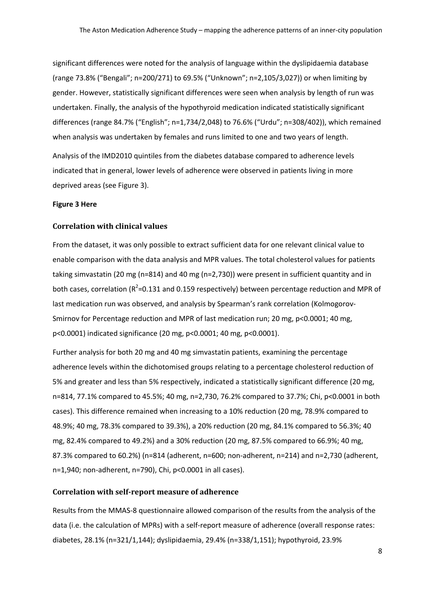significant differences were noted for the analysis of language within the dyslipidaemia database (range 73.8% ("Bengali"; n=200/271) to 69.5% ("Unknown"; n=2,105/3,027)) or when limiting by gender. However, statistically significant differences were seen when analysis by length of run was undertaken. Finally, the analysis of the hypothyroid medication indicated statistically significant differences (range 84.7% ("English"; n=1,734/2,048) to 76.6% ("Urdu"; n=308/402)), which remained when analysis was undertaken by females and runs limited to one and two years of length.

Analysis of the IMD2010 quintiles from the diabetes database compared to adherence levels indicated that in general, lower levels of adherence were observed in patients living in more deprived areas (see Figure 3).

#### **Figure 3 Here**

#### **Correlation with clinical values**

From the dataset, it was only possible to extract sufficient data for one relevant clinical value to enable comparison with the data analysis and MPR values. The total cholesterol values for patients taking simvastatin (20 mg (n=814) and 40 mg (n=2,730)) were present in sufficient quantity and in both cases, correlation ( $R^2$ =0.131 and 0.159 respectively) between percentage reduction and MPR of last medication run was observed, and analysis by Spearman's rank correlation (Kolmogorov-Smirnov for Percentage reduction and MPR of last medication run; 20 mg, p<0.0001; 40 mg, p<0.0001) indicated significance (20 mg, p<0.0001; 40 mg, p<0.0001).

Further analysis for both 20 mg and 40 mg simvastatin patients, examining the percentage adherence levels within the dichotomised groups relating to a percentage cholesterol reduction of 5% and greater and less than 5% respectively, indicated a statistically significant difference (20 mg, n=814, 77.1% compared to 45.5%; 40 mg, n=2,730, 76.2% compared to 37.7%; Chi, p<0.0001 in both cases). This difference remained when increasing to a 10% reduction (20 mg, 78.9% compared to 48.9%; 40 mg, 78.3% compared to 39.3%), a 20% reduction (20 mg, 84.1% compared to 56.3%; 40 mg, 82.4% compared to 49.2%) and a 30% reduction (20 mg, 87.5% compared to 66.9%; 40 mg, 87.3% compared to 60.2%) (n=814 (adherent, n=600; non-adherent, n=214) and n=2,730 (adherent, n=1,940; non-adherent, n=790), Chi, p<0.0001 in all cases).

#### **Correlation with self-report measure of adherence**

Results from the MMAS-8 questionnaire allowed comparison of the results from the analysis of the data (i.e. the calculation of MPRs) with a self-report measure of adherence (overall response rates: diabetes, 28.1% (n=321/1,144); dyslipidaemia, 29.4% (n=338/1,151); hypothyroid, 23.9%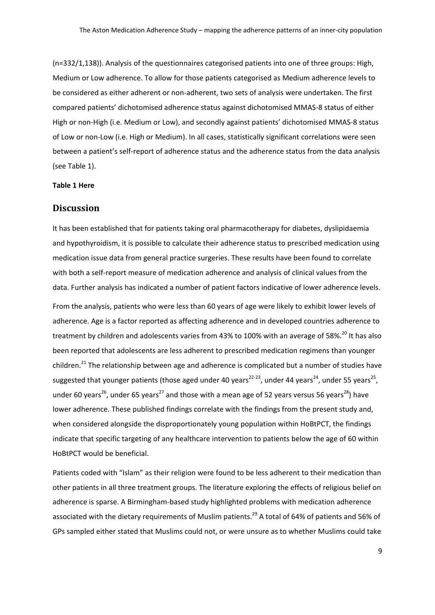(n=332/1,138)). Analysis of the questionnaires categorised patients into one of three groups: High, Medium or Low adherence. To allow for those patients categorised as Medium adherence levels to be considered as either adherent or non-adherent, two sets of analysis were undertaken. The first compared patients' dichotomised adherence status against dichotomised MMAS-8 status of either High or non-High (i.e. Medium or Low), and secondly against patients' dichotomised MMAS-8 status of Low or non-Low (i.e. High or Medium). In all cases, statistically significant correlations were seen between a patient's self-report of adherence status and the adherence status from the data analysis (see Table 1).

### **Table 1 Here**

## **Discussion**

It has been established that for patients taking oral pharmacotherapy for diabetes, dyslipidaemia and hypothyroidism, it is possible to calculate their adherence status to prescribed medication using medication issue data from general practice surgeries. These results have been found to correlate with both a self-report measure of medication adherence and analysis of clinical values from the data. Further analysis has indicated a number of patient factors indicative of lower adherence levels.

From the analysis, patients who were less than 60 years of age were likely to exhibit lower levels of adherence. Age is a factor reported as affecting adherence and in developed countries adherence to treatment by children and adolescents varies from 43% to 100% with an average of 58%.<sup>20</sup> It has also been reported that adolescents are less adherent to prescribed medication regimens than younger children.<sup>21</sup> The relationship between age and adherence is complicated but a number of studies have suggested that younger patients (those aged under 40 years<sup>22-23</sup>, under 44 years<sup>24</sup>, under 55 years<sup>25</sup>, under 60 years<sup>26</sup>, under 65 years<sup>27</sup> and those with a mean age of 52 years versus 56 years<sup>28</sup>) have lower adherence. These published findings correlate with the findings from the present study and, when considered alongside the disproportionately young population within HoBtPCT, the findings indicate that specific targeting of any healthcare intervention to patients below the age of 60 within HoBtPCT would be beneficial.

Patients coded with "Islam" as their religion were found to be less adherent to their medication than other patients in all three treatment groups. The literature exploring the effects of religious belief on adherence is sparse. A Birmingham-based study highlighted problems with medication adherence associated with the dietary requirements of Muslim patients.<sup>29</sup> A total of 64% of patients and 56% of GPs sampled either stated that Muslims could not, or were unsure as to whether Muslims could take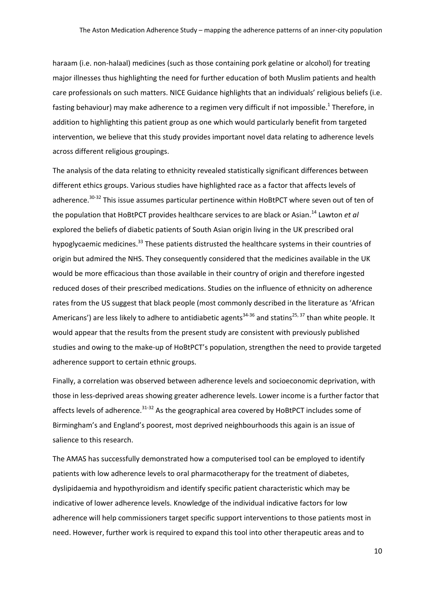haraam (i.e. non-halaal) medicines (such as those containing pork gelatine or alcohol) for treating major illnesses thus highlighting the need for further education of both Muslim patients and health care professionals on such matters. NICE Guidance highlights that an individuals' religious beliefs (i.e. fasting behaviour) may make adherence to a regimen very difficult if not impossible.<sup>1</sup> Therefore, in addition to highlighting this patient group as one which would particularly benefit from targeted intervention, we believe that this study provides important novel data relating to adherence levels across different religious groupings.

The analysis of the data relating to ethnicity revealed statistically significant differences between different ethics groups. Various studies have highlighted race as a factor that affects levels of adherence.<sup>30-32</sup> This issue assumes particular pertinence within HoBtPCT where seven out of ten of the population that HoBtPCT provides healthcare services to are black or Asian. <sup>14</sup> Lawton *et al* explored the beliefs of diabetic patients of South Asian origin living in the UK prescribed oral hypoglycaemic medicines.<sup>33</sup> These patients distrusted the healthcare systems in their countries of origin but admired the NHS. They consequently considered that the medicines available in the UK would be more efficacious than those available in their country of origin and therefore ingested reduced doses of their prescribed medications. Studies on the influence of ethnicity on adherence rates from the US suggest that black people (most commonly described in the literature as 'African Americans') are less likely to adhere to antidiabetic agents<sup>34-36</sup> and statins<sup>25, 37</sup> than white people. It would appear that the results from the present study are consistent with previously published studies and owing to the make-up of HoBtPCT's population, strengthen the need to provide targeted adherence support to certain ethnic groups.

Finally, a correlation was observed between adherence levels and socioeconomic deprivation, with those in less-deprived areas showing greater adherence levels. Lower income is a further factor that affects levels of adherence.<sup>31-32</sup> As the geographical area covered by HoBtPCT includes some of Birmingham's and England's poorest, most deprived neighbourhoods this again is an issue of salience to this research.

The AMAS has successfully demonstrated how a computerised tool can be employed to identify patients with low adherence levels to oral pharmacotherapy for the treatment of diabetes, dyslipidaemia and hypothyroidism and identify specific patient characteristic which may be indicative of lower adherence levels. Knowledge of the individual indicative factors for low adherence will help commissioners target specific support interventions to those patients most in need. However, further work is required to expand this tool into other therapeutic areas and to

10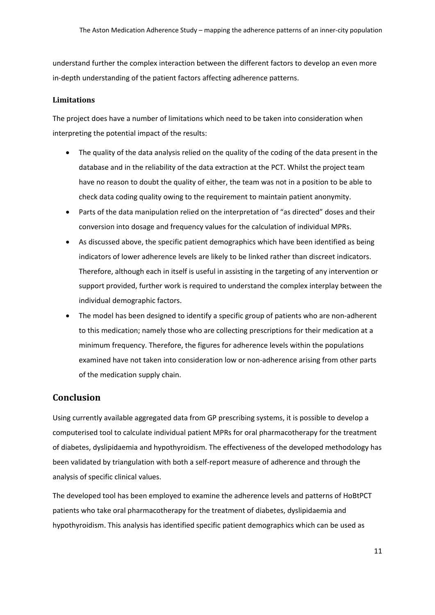understand further the complex interaction between the different factors to develop an even more in-depth understanding of the patient factors affecting adherence patterns.

## **Limitations**

The project does have a number of limitations which need to be taken into consideration when interpreting the potential impact of the results:

- The quality of the data analysis relied on the quality of the coding of the data present in the database and in the reliability of the data extraction at the PCT. Whilst the project team have no reason to doubt the quality of either, the team was not in a position to be able to check data coding quality owing to the requirement to maintain patient anonymity.
- Parts of the data manipulation relied on the interpretation of "as directed" doses and their conversion into dosage and frequency values for the calculation of individual MPRs.
- As discussed above, the specific patient demographics which have been identified as being indicators of lower adherence levels are likely to be linked rather than discreet indicators. Therefore, although each in itself is useful in assisting in the targeting of any intervention or support provided, further work is required to understand the complex interplay between the individual demographic factors.
- The model has been designed to identify a specific group of patients who are non-adherent to this medication; namely those who are collecting prescriptions for their medication at a minimum frequency. Therefore, the figures for adherence levels within the populations examined have not taken into consideration low or non-adherence arising from other parts of the medication supply chain.

# **Conclusion**

Using currently available aggregated data from GP prescribing systems, it is possible to develop a computerised tool to calculate individual patient MPRs for oral pharmacotherapy for the treatment of diabetes, dyslipidaemia and hypothyroidism. The effectiveness of the developed methodology has been validated by triangulation with both a self-report measure of adherence and through the analysis of specific clinical values.

The developed tool has been employed to examine the adherence levels and patterns of HoBtPCT patients who take oral pharmacotherapy for the treatment of diabetes, dyslipidaemia and hypothyroidism. This analysis has identified specific patient demographics which can be used as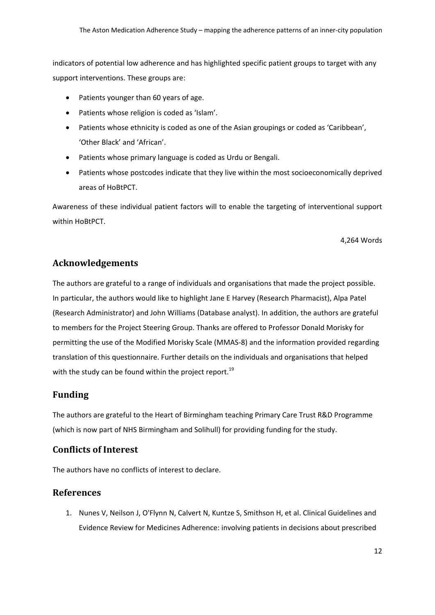indicators of potential low adherence and has highlighted specific patient groups to target with any support interventions. These groups are:

- Patients younger than 60 years of age.
- Patients whose religion is coded as 'Islam'.
- Patients whose ethnicity is coded as one of the Asian groupings or coded as 'Caribbean', 'Other Black' and 'African'.
- Patients whose primary language is coded as Urdu or Bengali.
- Patients whose postcodes indicate that they live within the most socioeconomically deprived areas of HoBtPCT.

Awareness of these individual patient factors will to enable the targeting of interventional support within HoBtPCT.

4,264 Words

# **Acknowledgements**

The authors are grateful to a range of individuals and organisations that made the project possible. In particular, the authors would like to highlight Jane E Harvey (Research Pharmacist), Alpa Patel (Research Administrator) and John Williams (Database analyst). In addition, the authors are grateful to members for the Project Steering Group. Thanks are offered to Professor Donald Morisky for permitting the use of the Modified Morisky Scale (MMAS-8) and the information provided regarding translation of this questionnaire. Further details on the individuals and organisations that helped with the study can be found within the project report.<sup>19</sup>

# **Funding**

The authors are grateful to the Heart of Birmingham teaching Primary Care Trust R&D Programme (which is now part of NHS Birmingham and Solihull) for providing funding for the study.

# **Conflicts of Interest**

The authors have no conflicts of interest to declare.

## **References**

1. Nunes V, Neilson J, O'Flynn N, Calvert N, Kuntze S, Smithson H, et al. Clinical Guidelines and Evidence Review for Medicines Adherence: involving patients in decisions about prescribed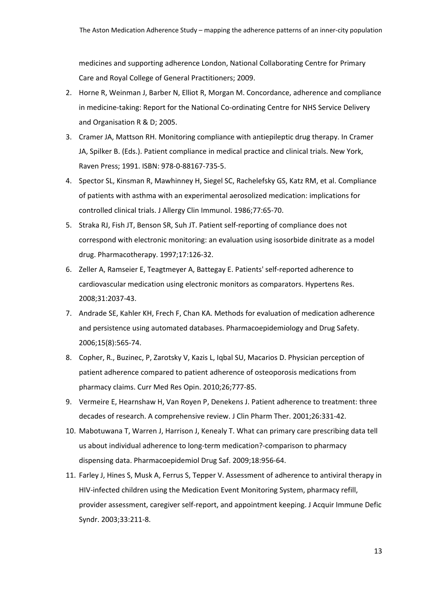medicines and supporting adherence London, National Collaborating Centre for Primary Care and Royal College of General Practitioners; 2009.

- 2. Horne R, Weinman J, Barber N, Elliot R, Morgan M. Concordance, adherence and compliance in medicine-taking: Report for the National Co-ordinating Centre for NHS Service Delivery and Organisation R & D; 2005.
- 3. Cramer JA, Mattson RH. Monitoring compliance with antiepileptic drug therapy. In Cramer JA, Spilker B. (Eds.). Patient compliance in medical practice and clinical trials. New York, Raven Press; 1991. ISBN: 978-0-88167-735-5.
- 4. Spector SL, Kinsman R, Mawhinney H, Siegel SC, Rachelefsky GS, Katz RM, et al. Compliance of patients with asthma with an experimental aerosolized medication: implications for controlled clinical trials. J Allergy Clin Immunol. 1986;77:65-70.
- 5. Straka RJ, Fish JT, Benson SR, Suh JT. Patient self-reporting of compliance does not correspond with electronic monitoring: an evaluation using isosorbide dinitrate as a model drug. Pharmacotherapy. 1997;17:126-32.
- 6. Zeller A, Ramseier E, Teagtmeyer A, Battegay E. Patients' self-reported adherence to cardiovascular medication using electronic monitors as comparators. Hypertens Res. 2008;31:2037-43.
- 7. Andrade SE, Kahler KH, Frech F, Chan KA. Methods for evaluation of medication adherence and persistence using automated databases. Pharmacoepidemiology and Drug Safety. 2006;15(8):565-74.
- 8. Copher, R., Buzinec, P, Zarotsky V, Kazis L, Iqbal SU, Macarios D. Physician perception of patient adherence compared to patient adherence of osteoporosis medications from pharmacy claims. Curr Med Res Opin. 2010;26;777-85.
- 9. Vermeire E, Hearnshaw H, Van Royen P, Denekens J. Patient adherence to treatment: three decades of research. A comprehensive review. J Clin Pharm Ther. 2001;26:331-42.
- 10. Mabotuwana T, Warren J, Harrison J, Kenealy T. What can primary care prescribing data tell us about individual adherence to long-term medication?-comparison to pharmacy dispensing data. Pharmacoepidemiol Drug Saf. 2009;18:956-64.
- 11. Farley J, Hines S, Musk A, Ferrus S, Tepper V. Assessment of adherence to antiviral therapy in HIV-infected children using the Medication Event Monitoring System, pharmacy refill, provider assessment, caregiver self-report, and appointment keeping. J Acquir Immune Defic Syndr. 2003;33:211-8.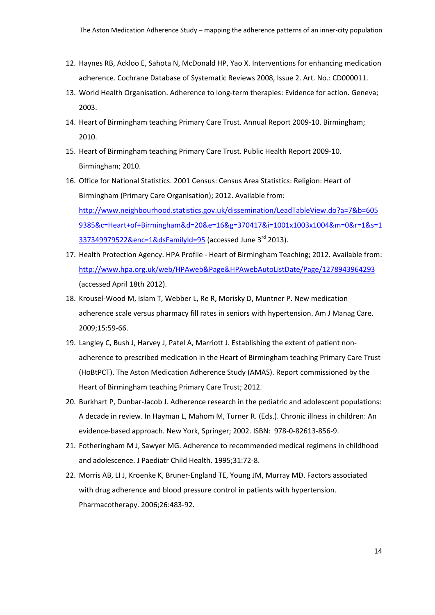- 12. Haynes RB, Ackloo E, Sahota N, McDonald HP, Yao X. Interventions for enhancing medication adherence. Cochrane Database of Systematic Reviews 2008, Issue 2. Art. No.: CD000011.
- 13. World Health Organisation. Adherence to long-term therapies: Evidence for action. Geneva; 2003.
- 14. Heart of Birmingham teaching Primary Care Trust. Annual Report 2009-10. Birmingham; 2010.
- 15. Heart of Birmingham teaching Primary Care Trust. Public Health Report 2009-10. Birmingham; 2010.
- 16. Office for National Statistics. 2001 Census: Census Area Statistics: Religion: Heart of Birmingham (Primary Care Organisation); 2012. Available from: [http://www.neighbourhood.statistics.gov.uk/dissemination/LeadTableView.do?a=7&b=605](http://www.neighbourhood.statistics.gov.uk/dissemination/LeadTableView.do?a=7&b=6059385&c=Heart+of+Birmingham&d=20&e=16&g=370417&i=1001x1003x1004&m=0&r=1&s=1337349979522&enc=1&dsFamilyId=95) [9385&c=Heart+of+Birmingham&d=20&e=16&g=370417&i=1001x1003x1004&m=0&r=1&s=1](http://www.neighbourhood.statistics.gov.uk/dissemination/LeadTableView.do?a=7&b=6059385&c=Heart+of+Birmingham&d=20&e=16&g=370417&i=1001x1003x1004&m=0&r=1&s=1337349979522&enc=1&dsFamilyId=95) [337349979522&enc=1&dsFamilyId=95](http://www.neighbourhood.statistics.gov.uk/dissemination/LeadTableView.do?a=7&b=6059385&c=Heart+of+Birmingham&d=20&e=16&g=370417&i=1001x1003x1004&m=0&r=1&s=1337349979522&enc=1&dsFamilyId=95) (accessed June 3rd 2013).
- 17. Health Protection Agency. HPA Profile Heart of Birmingham Teaching; 2012. Available from: <http://www.hpa.org.uk/web/HPAweb&Page&HPAwebAutoListDate/Page/1278943964293> (accessed April 18th 2012).
- 18. Krousel-Wood M, Islam T, Webber L, Re R, Morisky D, Muntner P. New medication adherence scale versus pharmacy fill rates in seniors with hypertension. Am J Manag Care. 2009;15:59-66.
- 19. Langley C, Bush J, Harvey J, Patel A, Marriott J. Establishing the extent of patient nonadherence to prescribed medication in the Heart of Birmingham teaching Primary Care Trust (HoBtPCT). The Aston Medication Adherence Study (AMAS). Report commissioned by the Heart of Birmingham teaching Primary Care Trust; 2012.
- 20. Burkhart P, Dunbar-Jacob J. Adherence research in the pediatric and adolescent populations: A decade in review. In Hayman L, Mahom M, Turner R. (Eds.). Chronic illness in children: An evidence-based approach. New York, Springer; 2002. ISBN: 978-0-82613-856-9.
- 21. Fotheringham M J, Sawyer MG. Adherence to recommended medical regimens in childhood and adolescence. J Paediatr Child Health. 1995;31:72-8.
- 22. Morris AB, LI J, Kroenke K, Bruner-England TE, Young JM, Murray MD. Factors associated with drug adherence and blood pressure control in patients with hypertension. Pharmacotherapy. 2006;26:483-92.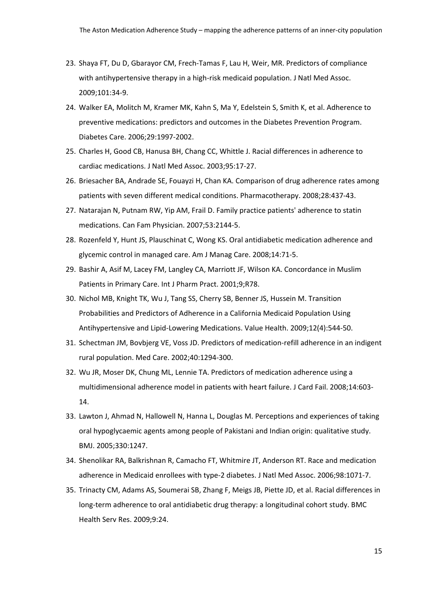- 23. Shaya FT, Du D, Gbarayor CM, Frech-Tamas F, Lau H, Weir, MR. Predictors of compliance with antihypertensive therapy in a high-risk medicaid population. J Natl Med Assoc. 2009;101:34-9.
- 24. Walker EA, Molitch M, Kramer MK, Kahn S, Ma Y, Edelstein S, Smith K, et al. Adherence to preventive medications: predictors and outcomes in the Diabetes Prevention Program. Diabetes Care. 2006;29:1997-2002.
- 25. Charles H, Good CB, Hanusa BH, Chang CC, Whittle J. Racial differences in adherence to cardiac medications. J Natl Med Assoc. 2003;95:17-27.
- 26. Briesacher BA, Andrade SE, Fouayzi H, Chan KA. Comparison of drug adherence rates among patients with seven different medical conditions. Pharmacotherapy. 2008;28:437-43.
- 27. Natarajan N, Putnam RW, Yip AM, Frail D. Family practice patients' adherence to statin medications. Can Fam Physician. 2007;53:2144-5.
- 28. Rozenfeld Y, Hunt JS, Plauschinat C, Wong KS. Oral antidiabetic medication adherence and glycemic control in managed care. Am J Manag Care. 2008;14:71-5.
- 29. Bashir A, Asif M, Lacey FM, Langley CA, Marriott JF, Wilson KA. Concordance in Muslim Patients in Primary Care. Int J Pharm Pract. 2001;9;R78.
- 30. Nichol MB, Knight TK, Wu J, Tang SS, Cherry SB, Benner JS, Hussein M. Transition Probabilities and Predictors of Adherence in a California Medicaid Population Using Antihypertensive and Lipid-Lowering Medications. Value Health. 2009;12(4):544-50.
- 31. Schectman JM, Bovbjerg VE, Voss JD. Predictors of medication-refill adherence in an indigent rural population. Med Care. 2002;40:1294-300.
- 32. Wu JR, Moser DK, Chung ML, Lennie TA. Predictors of medication adherence using a multidimensional adherence model in patients with heart failure. J Card Fail. 2008;14:603- 14.
- 33. Lawton J, Ahmad N, Hallowell N, Hanna L, Douglas M. Perceptions and experiences of taking oral hypoglycaemic agents among people of Pakistani and Indian origin: qualitative study. BMJ. 2005;330:1247.
- 34. Shenolikar RA, Balkrishnan R, Camacho FT, Whitmire JT, Anderson RT. Race and medication adherence in Medicaid enrollees with type-2 diabetes. J Natl Med Assoc. 2006;98:1071-7.
- 35. Trinacty CM, Adams AS, Soumerai SB, Zhang F, Meigs JB, Piette JD, et al. Racial differences in long-term adherence to oral antidiabetic drug therapy: a longitudinal cohort study. BMC Health Serv Res. 2009;9:24.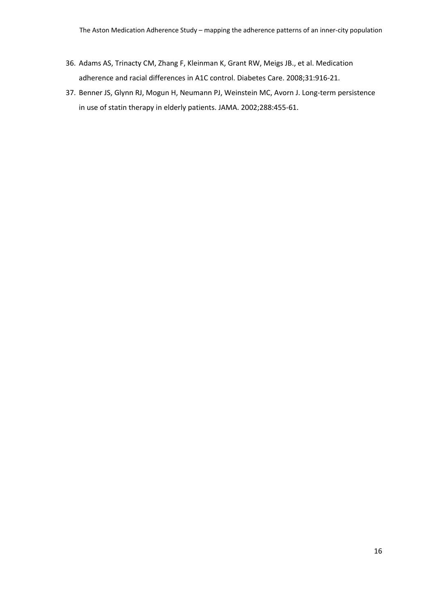- 36. Adams AS, Trinacty CM, Zhang F, Kleinman K, Grant RW, Meigs JB., et al. Medication adherence and racial differences in A1C control. Diabetes Care. 2008;31:916-21.
- 37. Benner JS, Glynn RJ, Mogun H, Neumann PJ, Weinstein MC, Avorn J. Long-term persistence in use of statin therapy in elderly patients. JAMA. 2002;288:455-61.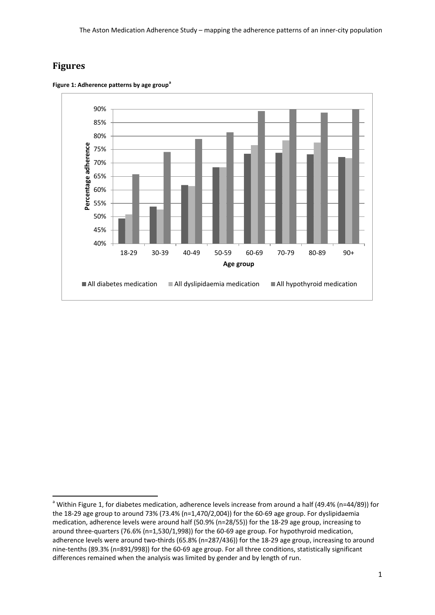# **Figures**



<span id="page-19-0"></span>**Figure 1: Adherence patterns by age group[a](#page-19-1)**

<span id="page-19-1"></span><sup>&</sup>lt;sup>a</sup> Within [Figure 1,](#page-19-0) for diabetes medication, adherence levels increase from around a half (49.4% (n=44/89)) for the 18-29 age group to around 73% (73.4% (n=1,470/2,004)) for the 60-69 age group. For dyslipidaemia medication, adherence levels were around half (50.9% (n=28/55)) for the 18-29 age group, increasing to around three-quarters (76.6% (n=1,530/1,998)) for the 60-69 age group. For hypothyroid medication, adherence levels were around two-thirds (65.8% (n=287/436)) for the 18-29 age group, increasing to around nine-tenths (89.3% (n=891/998)) for the 60-69 age group. For all three conditions, statistically significant differences remained when the analysis was limited by gender and by length of run.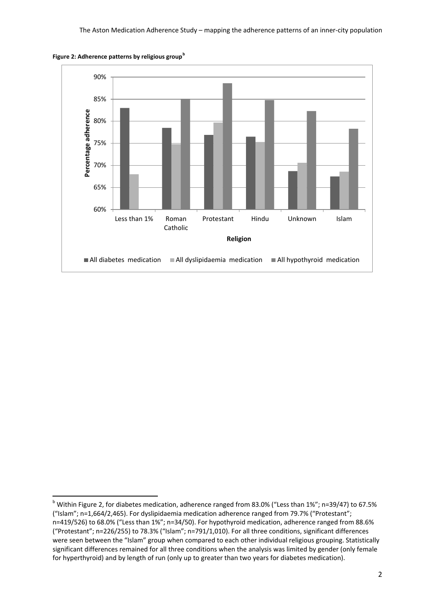

**Figure 2: Adherence patterns by religious group[b](#page-19-1)**

<span id="page-20-0"></span><sup>&</sup>lt;sup>b</sup> Within Figure 2, for diabetes medication, adherence ranged from 83.0% ("Less than 1%"; n=39/47) to 67.5% ("Islam"; n=1,664/2,465). For dyslipidaemia medication adherence ranged from 79.7% ("Protestant"; n=419/526) to 68.0% ("Less than 1%"; n=34/50). For hypothyroid medication, adherence ranged from 88.6% ("Protestant"; n=226/255) to 78.3% ("Islam"; n=791/1,010). For all three conditions, significant differences were seen between the "Islam" group when compared to each other individual religious grouping. Statistically significant differences remained for all three conditions when the analysis was limited by gender (only female for hyperthyroid) and by length of run (only up to greater than two years for diabetes medication).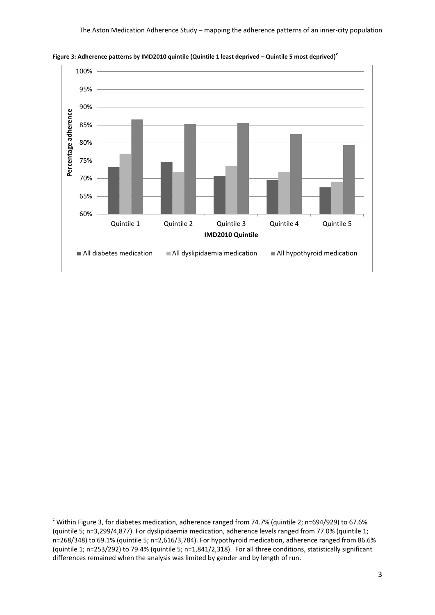

**Figure 3: Adherence patterns by IMD2010 quintile (Quintile 1 least deprived – Quintile 5 most deprived)[c](#page-20-0)**

<span id="page-21-0"></span> $\degree$  Within Figure 3, for diabetes medication, adherence ranged from 74.7% (quintile 2; n=694/929) to 67.6% (quintile 5; n=3,299/4,877). For dyslipidaemia medication, adherence levels ranged from 77.0% (quintile 1; n=268/348) to 69.1% (quintile 5; n=2,616/3,784). For hypothyroid medication, adherence ranged from 86.6% (quintile 1; n=253/292) to 79.4% (quintile 5; n=1,841/2,318). For all three conditions, statistically significant differences remained when the analysis was limited by gender and by length of run.